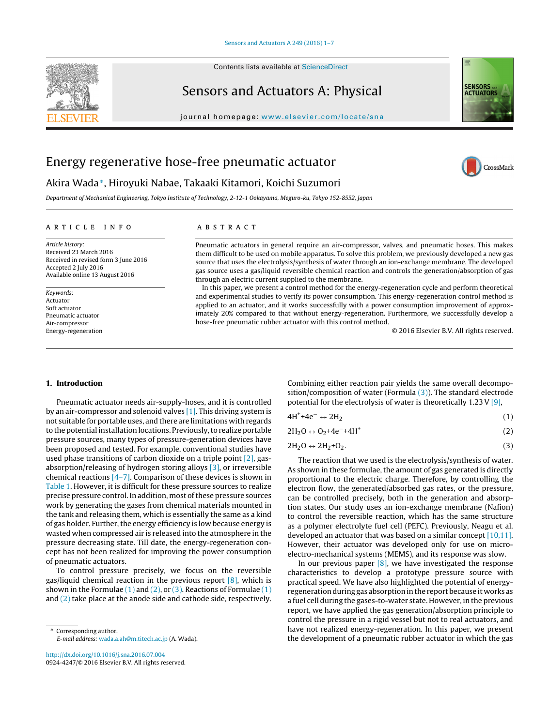

Contents lists available at [ScienceDirect](http://www.sciencedirect.com/science/journal/09244247)

# Sensors and Actuators A: Physical



journal homepage: [www.elsevier.com/locate/sna](http://www.elsevier.com/locate/sna)

# Energy regenerative hose-free pneumatic actuator

# CrossMark

# Akira Wada<sup>∗</sup>, Hiroyuki Nabae, Takaaki Kitamori, Koichi Suzumori

Department of Mechanical Engineering, Tokyo Institute of Technology, 2-12-1 Ookayama, Meguro-ku, Tokyo 152-8552, Japan

# a r t i c l e i n f o

Article history: Received 23 March 2016 Received in revised form 3 June 2016 Accepted 2 July 2016 Available online 13 August 2016

### Keywords: Actuator Soft actuator Pneumatic actuator Air-compressor Energy-regeneration

# A B S T R A C T

Pneumatic actuators in general require an air-compressor, valves, and pneumatic hoses. This makes them difficult to be used on mobile apparatus. To solve this problem, we previously developed a new gas source that uses the electrolysis/synthesis of water through an ion-exchange membrane. The developed gas source uses a gas/liquid reversible chemical reaction and controls the generation/absorption of gas through an electric current supplied to the membrane.

In this paper, we present a control method for the energy-regeneration cycle and perform theoretical and experimental studies to verify its power consumption. This energy-regeneration control method is applied to an actuator, and it works successfully with a power consumption improvement of approximately 20% compared to that without energy-regeneration. Furthermore, we successfully develop a hose-free pneumatic rubber actuator with this control method.

© 2016 Elsevier B.V. All rights reserved.

# **1. Introduction**

Pneumatic actuator needs air-supply-hoses, and it is controlled by an air-compressor and solenoid valves [\[1\].](#page--1-0) This driving system is not suitable for portable uses, and there are limitations with regards to the potential installation locations. Previously,to realize portable pressure sources, many types of pressure-generation devices have been proposed and tested. For example, conventional studies have used phase transitions of carbon dioxide on a triple point [\[2\],](#page--1-0) gasabsorption/releasing of hydrogen storing alloys [\[3\],](#page--1-0) or irreversible chemical reactions [\[4–7\].](#page--1-0) Comparison of these devices is shown in [Table](#page-1-0) 1. However, it is difficult for these pressure sources to realize precise pressure control. In addition, most of these pressure sources work by generating the gases from chemical materials mounted in the tank and releasing them, which is essentially the same as a kind of gas holder. Further, the energy efficiency is low because energy is wasted when compressed air is released into the atmosphere in the pressure decreasing state. Till date, the energy-regeneration concept has not been realized for improving the power consumption of pneumatic actuators.

To control pressure precisely, we focus on the reversible gas/liquid chemical reaction in the previous report  $[8]$ , which is shown in the Formulae  $(1)$  and  $(2)$ , or  $(3)$ . Reactions of Formulae  $(1)$ and (2) take place at the anode side and cathode side, respectively. Combining either reaction pair yields the same overall decomposition/composition of water (Formula  $(3)$ ). The standard electrode potential for the electrolysis of water is theoretically 1.23V [\[9\],](#page--1-0)

$$
4H^{+} + 4e^{-} \leftrightarrow 2H_{2} \tag{1}
$$

 $2H_2O \leftrightarrow O_2 + 4e^- + 4H^+$  (2)

$$
2H_2O \leftrightarrow 2H_2 + O_2. \tag{3}
$$

The reaction that we used is the electrolysis/synthesis of water. As shown in these formulae, the amount of gas generated is directly proportional to the electric charge. Therefore, by controlling the electron flow, the generated/absorbed gas rates, or the pressure, can be controlled precisely, both in the generation and absorption states. Our study uses an ion-exchange membrane (Nafion) to control the reversible reaction, which has the same structure as a polymer electrolyte fuel cell (PEFC). Previously, Neagu et al. developed an actuator that was based on a similar concept [\[10,11\].](#page--1-0) However, their actuator was developed only for use on microelectro-mechanical systems (MEMS), and its response was slow.

In our previous paper  $[8]$ , we have investigated the response characteristics to develop a prototype pressure source with practical speed. We have also highlighted the potential of energyregeneration during gas absorption in the report because it works as a fuel cell during the gases-to-water state. However, in the previous report, we have applied the gas generation/absorption principle to control the pressure in a rigid vessel but not to real actuators, and have not realized energy-regeneration. In this paper, we present the development of a pneumatic rubber actuator in which the gas

<sup>∗</sup> Corresponding author. E-mail address: [wada.a.ah@m.titech.ac.jp](mailto:wada.a.ah@m.titech.ac.jp) (A. Wada).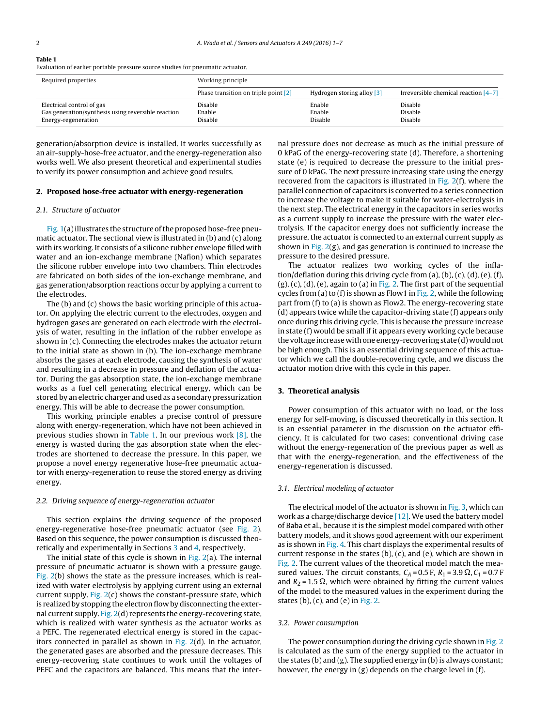<span id="page-1-0"></span>

# **Table 1**

Evaluation of earlier portable pressure source studies for pneumatic actuator.

| Required properties                                | Working principle                    |                            |                                        |
|----------------------------------------------------|--------------------------------------|----------------------------|----------------------------------------|
|                                                    | Phase transition on triple point [2] | Hydrogen storing alloy [3] | Irreversible chemical reaction $[4-7]$ |
| Electrical control of gas                          | Disable                              | Enable                     | <b>Disable</b>                         |
| Gas generation/synthesis using reversible reaction | Enable                               | Enable                     | <b>Disable</b>                         |
| Energy-regeneration                                | Disable                              | Disable                    | <b>Disable</b>                         |

generation/absorption device is installed. It works successfully as an air-supply-hose-free actuator, and the energy-regeneration also works well. We also present theoretical and experimental studies to verify its power consumption and achieve good results.

#### **2. Proposed hose-free actuator with energy-regeneration**

#### 2.1. Structure of actuator

[Fig.](#page--1-0) 1(a) illustrates the structure of the proposed hose-free pneumatic actuator. The sectional view is illustrated in (b) and (c) along with its working. It consists of a silicone rubber envelope filled with water and an ion-exchange membrane (Nafion) which separates the silicone rubber envelope into two chambers. Thin electrodes are fabricated on both sides of the ion-exchange membrane, and gas generation/absorption reactions occur by applying a current to the electrodes.

The (b) and (c) shows the basic working principle of this actuator. On applying the electric current to the electrodes, oxygen and hydrogen gases are generated on each electrode with the electrolysis of water, resulting in the inflation of the rubber envelope as shown in (c). Connecting the electrodes makes the actuator return to the initial state as shown in (b). The ion-exchange membrane absorbs the gases at each electrode, causing the synthesis of water and resulting in a decrease in pressure and deflation of the actuator. During the gas absorption state, the ion-exchange membrane works as a fuel cell generating electrical energy, which can be stored by an electric charger and used as a secondary pressurization energy. This will be able to decrease the power consumption.

This working principle enables a precise control of pressure along with energy-regeneration, which have not been achieved in previous studies shown in Table 1. In our previous work [\[8\],](#page--1-0) the energy is wasted during the gas absorption state when the electrodes are shortened to decrease the pressure. In this paper, we propose a novel energy regenerative hose-free pneumatic actuator with energy-regeneration to reuse the stored energy as driving energy.

## 2.2. Driving sequence of energy-regeneration actuator

This section explains the driving sequence of the proposed energy-regenerative hose-free pneumatic actuator (see [Fig.](#page--1-0) 2). Based on this sequence, the power consumption is discussed theoretically and experimentally in Sections 3 and [4,](#page--1-0) respectively.

The initial state of this cycle is shown in [Fig.](#page--1-0)  $2(a)$ . The internal pressure of pneumatic actuator is shown with a pressure gauge. [Fig.](#page--1-0) 2(b) shows the state as the pressure increases, which is realized with water electrolysis by applying current using an external current supply. [Fig.](#page--1-0)  $2(c)$  shows the constant-pressure state, which is realized by stopping the electron flow by disconnecting the external current supply. [Fig.](#page--1-0) 2(d) represents the energy-recovering state, which is realized with water synthesis as the actuator works as a PEFC. The regenerated electrical energy is stored in the capacitors connected in parallel as shown in  $Fig. 2(d)$  $Fig. 2(d)$ . In the actuator, the generated gases are absorbed and the pressure decreases. This energy-recovering state continues to work until the voltages of PEFC and the capacitors are balanced. This means that the inter-

nal pressure does not decrease as much as the initial pressure of 0 kPaG of the energy-recovering state (d). Therefore, a shortening state (e) is required to decrease the pressure to the initial pressure of 0 kPaG. The next pressure increasing state using the energy recovered from the capacitors is illustrated in [Fig.](#page--1-0) 2(f), where the parallel connection of capacitors is converted to a series connection to increase the voltage to make it suitable for water-electrolysis in the next step. The electrical energy in the capacitors in series works as a current supply to increase the pressure with the water electrolysis. If the capacitor energy does not sufficiently increase the pressure, the actuator is connected to an external current supply as shown in [Fig.](#page--1-0)  $2(g)$ , and gas generation is continued to increase the pressure to the desired pressure.

The actuator realizes two working cycles of the inflation/deflation during this driving cycle from  $(a)$ ,  $(b)$ ,  $(c)$ ,  $(d)$ ,  $(e)$ ,  $(f)$ ,  $(g)$ ,  $(c)$ ,  $(d)$ ,  $(e)$ , again to  $(a)$  in [Fig.](#page--1-0) 2. The first part of the sequential cycles from (a) to (f) is shown as Flow1 in [Fig.](#page--1-0) 2, while the following part from (f) to (a) is shown as Flow2. The energy-recovering state (d) appears twice while the capacitor-driving state (f) appears only once during this driving cycle. This is because the pressure increase in state (f) would be small if it appears every working cycle because the voltage increase with one energy-recovering state (d) would not be high enough. This is an essential driving sequence of this actuator which we call the double-recovering cycle, and we discuss the actuator motion drive with this cycle in this paper.

# **3. Theoretical analysis**

Power consumption of this actuator with no load, or the loss energy for self-moving, is discussed theoretically in this section. It is an essential parameter in the discussion on the actuator efficiency. It is calculated for two cases: conventional driving case without the energy-regeneration of the previous paper as well as that with the energy-regeneration, and the effectiveness of the energy-regeneration is discussed.

#### 3.1. Electrical modeling of actuator

The electrical model of the actuator is shown in [Fig.](#page--1-0) 3, which can work as a charge/discharge device [\[12\].](#page--1-0) We used the battery model of Baba et al., because it is the simplest model compared with other battery models, and it shows good agreement with our experiment as is shown in [Fig.](#page--1-0) 4. This chart displays the experimental results of current response in the states  $(b)$ ,  $(c)$ , and  $(e)$ , which are shown in [Fig.](#page--1-0) 2. The current values of the theoretical model match the measured values. The circuit constants,  $C_A$  = 0.5 F,  $R_1$  = 3.9  $\Omega$ ,  $C_1$  = 0.7 F and  $R_2$  = 1.5  $\Omega$ , which were obtained by fitting the current values of the model to the measured values in the experiment during the states  $(b)$ ,  $(c)$ , and  $(e)$  in [Fig.](#page--1-0) 2.

## 3.2. Power consumption

The power consumption during the driving cycle shown in [Fig.](#page--1-0) 2 is calculated as the sum of the energy supplied to the actuator in the states (b) and (g). The supplied energy in (b) is always constant; however, the energy in (g) depends on the charge level in (f).